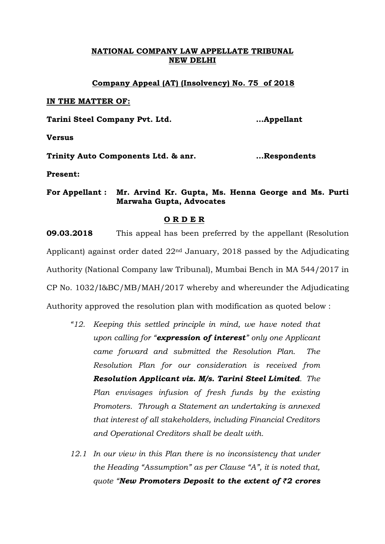# **NATIONAL COMPANY LAW APPELLATE TRIBUNAL NEW DELHI**

### **Company Appeal (AT) (Insolvency) No. 75 of 2018**

#### **IN THE MATTER OF:**

**Tarini Steel Company Pvt. Ltd. …Appellant**

**Versus**

**Trinity Auto Components Ltd. & anr. …Respondents**

**Present:** 

**For Appellant : Mr. Arvind Kr. Gupta, Ms. Henna George and Ms. Purti Marwaha Gupta, Advocates**

## **O R D E R**

**09.03.2018** This appeal has been preferred by the appellant (Resolution Applicant) against order dated 22nd January, 2018 passed by the Adjudicating Authority (National Company law Tribunal), Mumbai Bench in MA 544/2017 in CP No. 1032/I&BC/MB/MAH/2017 whereby and whereunder the Adjudicating Authority approved the resolution plan with modification as quoted below :

- *"12. Keeping this settled principle in mind, we have noted that upon calling for "expression of interest" only one Applicant came forward and submitted the Resolution Plan. The Resolution Plan for our consideration is received from Resolution Applicant viz. M/s. Tarini Steel Limited. The Plan envisages infusion of fresh funds by the existing Promoters. Through a Statement an undertaking is annexed that interest of all stakeholders, including Financial Creditors and Operational Creditors shall be dealt with.*
- *12.1 In our view in this Plan there is no inconsistency that under the Heading "Assumption" as per Clause "A", it is noted that, quote "New Promoters Deposit to the extent of ₹2 crores*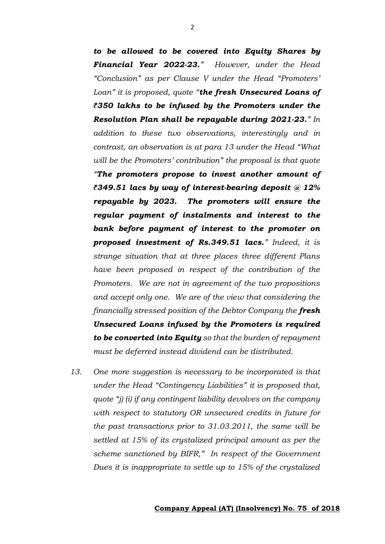*to be allowed to be covered into Equity Shares by Financial Year 2022-23." However, under the Head "Conclusion" as per Clause V under the Head "Promoters' Loan" it is proposed, quote "the fresh Unsecured Loans of ₹350 lakhs to be infused by the Promoters under the Resolution Plan shall be repayable during 2021-23." In addition to these two observations, interestingly and in contrast, an observation is at para 13 under the Head "What will be the Promoters' contribution" the proposal is that quote "The promoters propose to invest another amount of ₹349.51 lacs by way of interest-bearing deposit @ 12% repayable by 2023. The promoters will ensure the regular payment of instalments and interest to the bank before payment of interest to the promoter on proposed investment of Rs.349.51 lacs." Indeed, it is strange situation that at three places three different Plans have been proposed in respect of the contribution of the Promoters. We are not in agreement of the two propositions and accept only one. We are of the view that considering the financially stressed position of the Debtor Company the fresh Unsecured Loans infused by the Promoters is required to be converted into Equity so that the burden of repayment must be deferred instead dividend can be distributed.*

*13. One more suggestion is necessary to be incorporated is that under the Head "Contingency Liabilities" it is proposed that, quote "j) (i) if any contingent liability devolves on the company with respect to statutory OR unsecured credits in future for the past transactions prior to 31.03.2011, the same will be settled at 15% of its crystalized principal amount as per the scheme sanctioned by BIFR," In respect of the Government Dues it is inappropriate to settle up to 15% of the crystalized*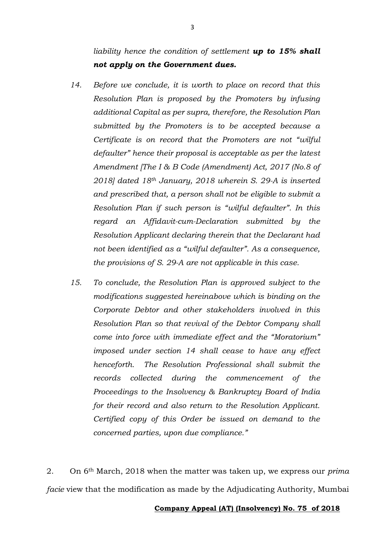- *14. Before we conclude, it is worth to place on record that this Resolution Plan is proposed by the Promoters by infusing additional Capital as per supra, therefore, the Resolution Plan submitted by the Promoters is to be accepted because a Certificate is on record that the Promoters are not "wilful defaulter" hence their proposal is acceptable as per the latest Amendment [The I & B Code (Amendment) Act, 2017 (No.8 of 2018] dated 18th January, 2018 wherein S. 29-A is inserted and prescribed that, a person shall not be eligible to submit a Resolution Plan if such person is "wilful defaulter". In this regard an Affidavit-cum-Declaration submitted by the Resolution Applicant declaring therein that the Declarant had not been identified as a "wilful defaulter". As a consequence, the provisions of S. 29-A are not applicable in this case.*
- *15. To conclude, the Resolution Plan is approved subject to the modifications suggested hereinabove which is binding on the Corporate Debtor and other stakeholders involved in this Resolution Plan so that revival of the Debtor Company shall come into force with immediate effect and the "Moratorium" imposed under section 14 shall cease to have any effect henceforth. The Resolution Professional shall submit the records collected during the commencement of the Proceedings to the Insolvency & Bankruptcy Board of India for their record and also return to the Resolution Applicant. Certified copy of this Order be issued on demand to the concerned parties, upon due compliance."*

2. On 6th March, 2018 when the matter was taken up, we express our *prima facie* view that the modification as made by the Adjudicating Authority, Mumbai

#### **Company Appeal (AT) (Insolvency) No. 75 of 2018**